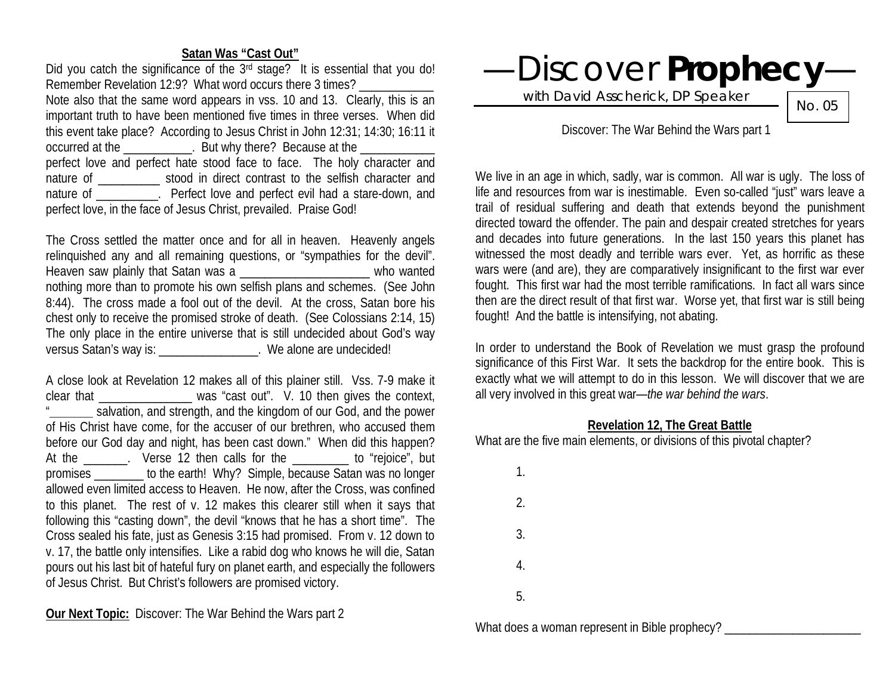# **Satan Was "Cast Out"**

Did you catch the significance of the 3<sup>rd</sup> stage? It is essential that you do! Remember Revelation 12:9? What word occurs there 3 times? Note also that the same word appears in vss. 10 and 13. Clearly, this is an important truth to have been mentioned five times in three verses. When did this event take place? According to Jesus Christ in John 12:31; 14:30; 16:11 it occurred at the  $\qquad \qquad$  . But why there? Because at the perfect love and perfect hate stood face to face. The holy character and nature of \_\_\_\_\_\_\_\_\_\_ stood in direct contrast to the selfish character and nature of **Example 2** Perfect love and perfect evil had a stare-down, and perfect love, in the face of Jesus Christ, prevailed. Praise God!

The Cross settled the matter once and for all in heaven. Heavenly angels relinquished any and all remaining questions, or "sympathies for the devil". Heaven saw plainly that Satan was a \_\_\_\_\_\_\_\_\_\_\_\_\_\_\_\_\_\_\_\_\_\_\_\_ who wanted nothing more than to promote his own selfish plans and schemes. (See John 8:44). The cross made a fool out of the devil. At the cross, Satan bore his chest only to receive the promised stroke of death. (See Colossians 2:14, 15) The only place in the entire universe that is still undecided about God's way versus Satan's way is: \_\_\_\_\_\_\_\_\_\_\_\_\_\_\_\_\_\_. We alone are undecided!

A close look at Revelation 12 makes all of this plainer still. Vss. 7-9 make it clear that \_\_\_\_\_\_\_\_\_\_\_\_\_\_\_ was "cast out". V. 10 then gives the context,  $\equiv$  salvation, and strength, and the kingdom of our God, and the power of His Christ have come, for the accuser of our brethren, who accused them before our God day and night, has been cast down." When did this happen? At the The Nerse 12 then calls for the The The "rejoice", but promises \_\_\_\_\_\_\_\_ to the earth! Why? Simple, because Satan was no longer allowed even limited access to Heaven. He now, after the Cross, was confined to this planet. The rest of v. 12 makes this clearer still when it says that following this "casting down", the devil "knows that he has a short time". The Cross sealed his fate, just as Genesis 3:15 had promised. From v. 12 down to v. 17, the battle only intensifies. Like a rabid dog who knows he will die, Satan pours out his last bit of hateful fury on planet earth, and especially the followers of Jesus Christ. But Christ's followers are promised victory.

**Our Next Topic:** Discover: The War Behind the Wars part 2



with David Asscherick, DP Speaker

No. 05

# Discover: The War Behind the Wars part 1

We live in an age in which, sadly, war is common. All war is ugly. The loss of life and resources from war is inestimable. Even so-called "just" wars leave a trail of residual suffering and death that extends beyond the punishment directed toward the offender. The pain and despair created stretches for years and decades into future generations. In the last 150 years this planet has witnessed the most deadly and terrible wars ever. Yet, as horrific as these wars were (and are), they are comparatively insignificant to the first war ever fought. This first war had the most terrible ramifications. In fact all wars since then are the direct result of that first war. Worse yet, that first war is still being fought! And the battle is intensifying, not abating.

In order to understand the Book of Revelation we must grasp the profound significance of this First War. It sets the backdrop for the entire book. This is exactly what we will attempt to do in this lesson. We will discover that we are all very involved in this great war—*the war behind the wars*.

### **Revelation 12, The Great Battle**

What are the five main elements, or divisions of this pivotal chapter?

| 1. |  |  |  |
|----|--|--|--|
| 2. |  |  |  |
| 3. |  |  |  |
| 4. |  |  |  |
| 5. |  |  |  |
|    |  |  |  |